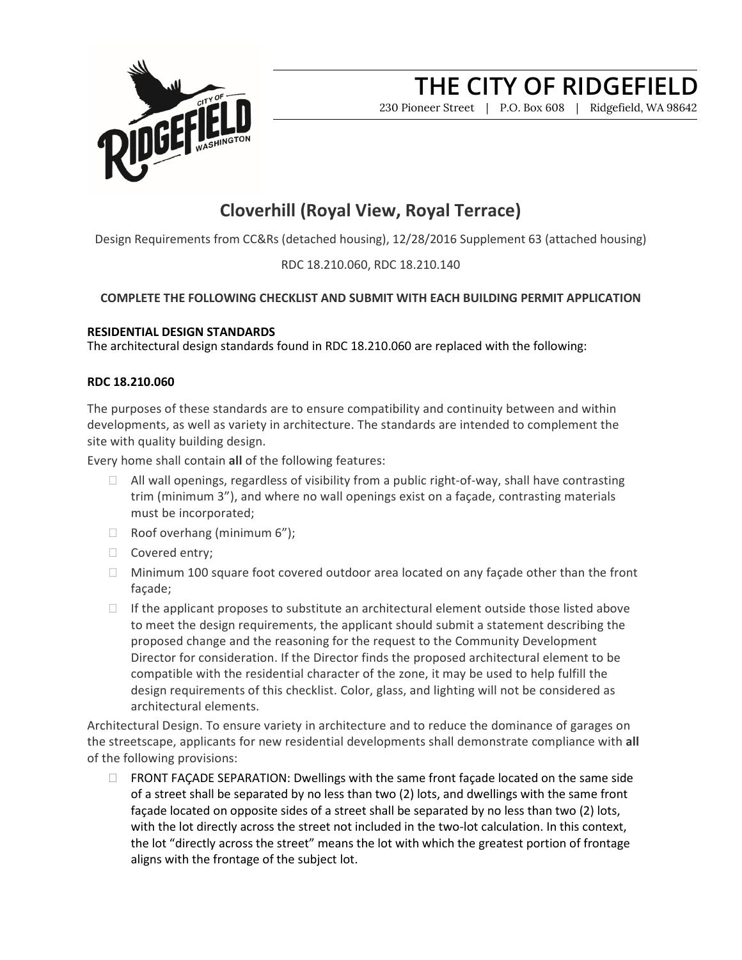

230 Pioneer Street | P.O. Box 608 | Ridgefield, WA 98642

### **Cloverhill (Royal View, Royal Terrace)**

Design Requirements from CC&Rs (detached housing), 12/28/2016 Supplement 63 (attached housing)

### RDC 18.210.060, RDC 18.210.140

### **COMPLETE THE FOLLOWING CHECKLIST AND SUBMIT WITH EACH BUILDING PERMIT APPLICATION**

#### **RESIDENTIAL DESIGN STANDARDS**

The architectural design standards found in RDC 18.210.060 are replaced with the following:

### **RDC 18.210.060**

The purposes of these standards are to ensure compatibility and continuity between and within developments, as well as variety in architecture. The standards are intended to complement the site with quality building design.

Every home shall contain **all** of the following features:

- $\Box$  All wall openings, regardless of visibility from a public right-of-way, shall have contrasting trim (minimum 3"), and where no wall openings exist on a façade, contrasting materials must be incorporated;
- $\Box$  Roof overhang (minimum 6");
- □ Covered entry;
- $\Box$  Minimum 100 square foot covered outdoor area located on any façade other than the front façade;
- $\Box$  If the applicant proposes to substitute an architectural element outside those listed above to meet the design requirements, the applicant should submit a statement describing the proposed change and the reasoning for the request to the Community Development Director for consideration. If the Director finds the proposed architectural element to be compatible with the residential character of the zone, it may be used to help fulfill the design requirements of this checklist. Color, glass, and lighting will not be considered as architectural elements.

Architectural Design. To ensure variety in architecture and to reduce the dominance of garages on the streetscape, applicants for new residential developments shall demonstrate compliance with **all**  of the following provisions:

 $\Box$  FRONT FAÇADE SEPARATION: Dwellings with the same front façade located on the same side of a street shall be separated by no less than two (2) lots, and dwellings with the same front façade located on opposite sides of a street shall be separated by no less than two (2) lots, with the lot directly across the street not included in the two-lot calculation. In this context, the lot "directly across the street" means the lot with which the greatest portion of frontage aligns with the frontage of the subject lot.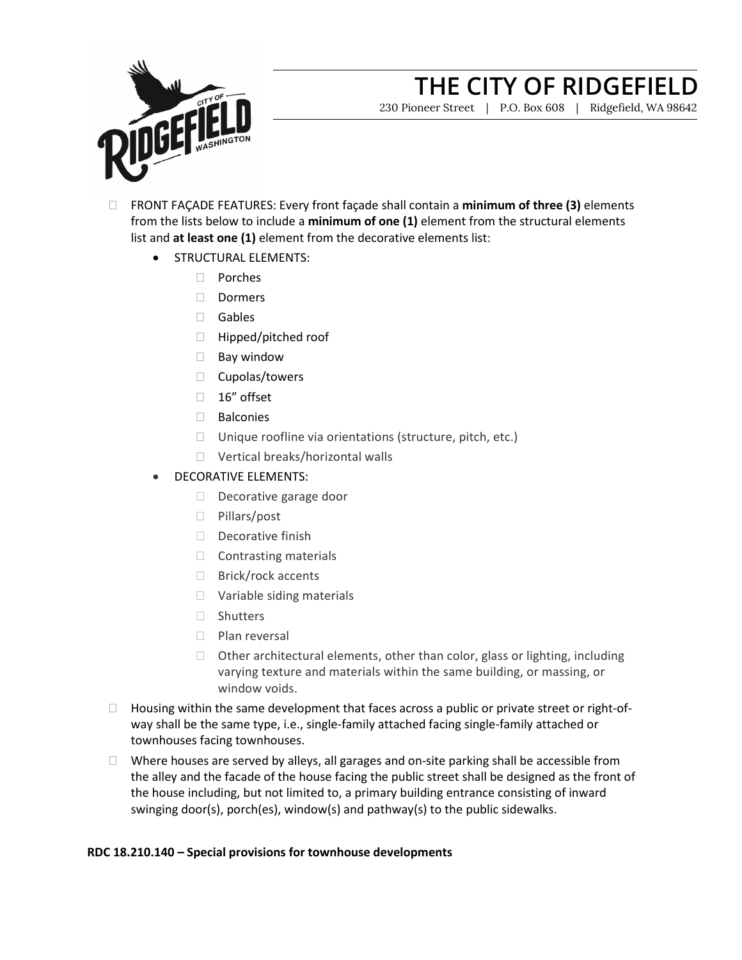

230 Pioneer Street | P.O. Box 608 | Ridgefield, WA 98642

- FRONT FAÇADE FEATURES: Every front façade shall contain a **minimum of three (3)** elements from the lists below to include a **minimum of one (1)** element from the structural elements list and **at least one (1)** element from the decorative elements list:
	- STRUCTURAL ELEMENTS:
		- Porches
		- Dormers
		- Gables
		- □ Hipped/pitched roof
		- $\Box$  Bay window
		- $\Box$  Cupolas/towers
		- $\Box$  16" offset
		- □ Balconies
		- $\Box$  Unique roofline via orientations (structure, pitch, etc.)
		- □ Vertical breaks/horizontal walls
	- DECORATIVE ELEMENTS:
		- Decorative garage door
		- □ Pillars/post
		- $\Box$  Decorative finish
		- $\Box$  Contrasting materials
		- □ Brick/rock accents
		- Variable siding materials
		- □ Shutters
		- $\Box$  Plan reversal
		- $\Box$  Other architectural elements, other than color, glass or lighting, including varying texture and materials within the same building, or massing, or window voids.
- $\Box$  Housing within the same development that faces across a public or private street or right-ofway shall be the same type, i.e., single-family attached facing single-family attached or townhouses facing townhouses.
- $\Box$  Where houses are served by alleys, all garages and on-site parking shall be accessible from the alley and the facade of the house facing the public street shall be designed as the front of the house including, but not limited to, a primary building entrance consisting of inward swinging door(s), porch(es), window(s) and pathway(s) to the public sidewalks.

### **RDC 18.210.140 – Special provisions for townhouse developments**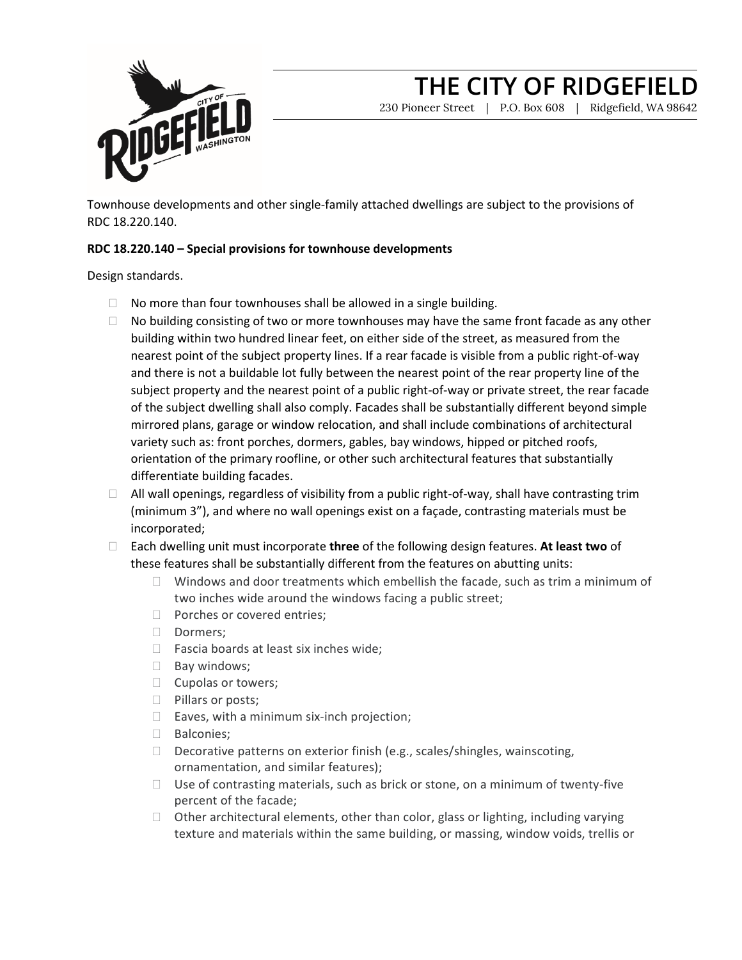

230 Pioneer Street | P.O. Box 608 | Ridgefield, WA 98642

Townhouse developments and other single-family attached dwellings are subject to the provisions of RDC 18.220.140.

### **RDC 18.220.140 – Special provisions for townhouse developments**

Design standards.

- $\Box$  No more than four townhouses shall be allowed in a single building.
- $\Box$  No building consisting of two or more townhouses may have the same front facade as any other building within two hundred linear feet, on either side of the street, as measured from the nearest point of the subject property lines. If a rear facade is visible from a public right-of-way and there is not a buildable lot fully between the nearest point of the rear property line of the subject property and the nearest point of a public right-of-way or private street, the rear facade of the subject dwelling shall also comply. Facades shall be substantially different beyond simple mirrored plans, garage or window relocation, and shall include combinations of architectural variety such as: front porches, dormers, gables, bay windows, hipped or pitched roofs, orientation of the primary roofline, or other such architectural features that substantially differentiate building facades.
- $\Box$  All wall openings, regardless of visibility from a public right-of-way, shall have contrasting trim (minimum 3"), and where no wall openings exist on a façade, contrasting materials must be incorporated;
- Each dwelling unit must incorporate **three** of the following design features. **At least two** of these features shall be substantially different from the features on abutting units:
	- $\Box$  Windows and door treatments which embellish the facade, such as trim a minimum of two inches wide around the windows facing a public street;
	- D Porches or covered entries;
	- Dormers;
	- $\Box$  Fascia boards at least six inches wide;
	- $\Box$  Bay windows;
	- $\Box$  Cupolas or towers;
	- **Pillars or posts;**
	- $\Box$  Eaves, with a minimum six-inch projection;
	- **Balconies**;
	- $\Box$  Decorative patterns on exterior finish (e.g., scales/shingles, wainscoting, ornamentation, and similar features);
	- $\Box$  Use of contrasting materials, such as brick or stone, on a minimum of twenty-five percent of the facade;
	- $\Box$  Other architectural elements, other than color, glass or lighting, including varying texture and materials within the same building, or massing, window voids, trellis or